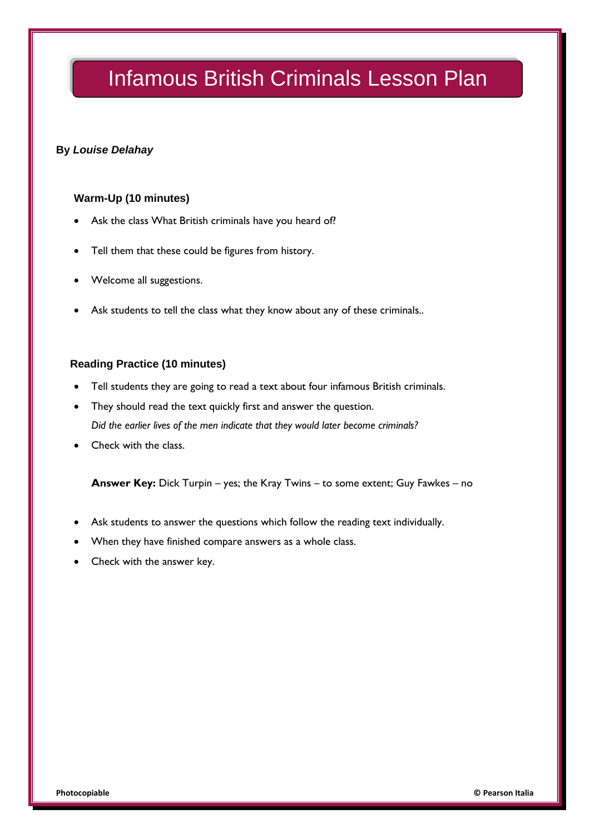### **By** *Louise Delahay*

#### **Warm-Up (10 minutes)**

- Ask the class What British criminals have you heard of?
- Tell them that these could be figures from history.
- Welcome all suggestions.
- Ask students to tell the class what they know about any of these criminals..

#### **Reading Practice (10 minutes)**

- Tell students they are going to read a text about four infamous British criminals.
- They should read the text quickly first and answer the question. *Did the earlier lives of the men indicate that they would later become criminals?*
- Check with the class.

**Answer Key:** Dick Turpin – yes; the Kray Twins – to some extent; Guy Fawkes – no

- Ask students to answer the questions which follow the reading text individually.
- When they have finished compare answers as a whole class.
- Check with the answer key.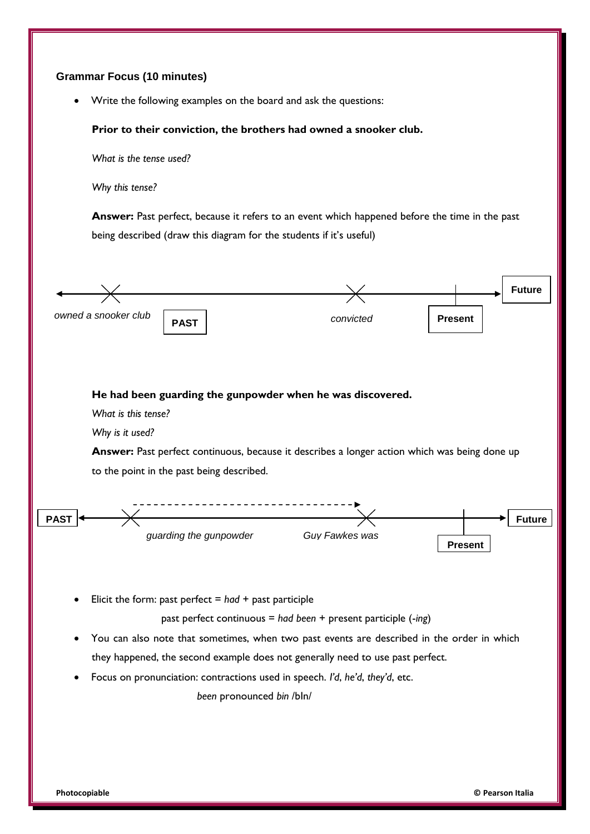#### **Grammar Focus (10 minutes)**

Write the following examples on the board and ask the questions:

#### **Prior to their conviction, the brothers had owned a snooker club.**

*What is the tense used?*

*Why this tense?*

**Answer:** Past perfect, because it refers to an event which happened before the time in the past being described (draw this diagram for the students if it's useful)



Focus on pronunciation: contractions used in speech. *I'd*, *he'd*, *they'd*, etc.

*been* pronounced *bin* /bIn/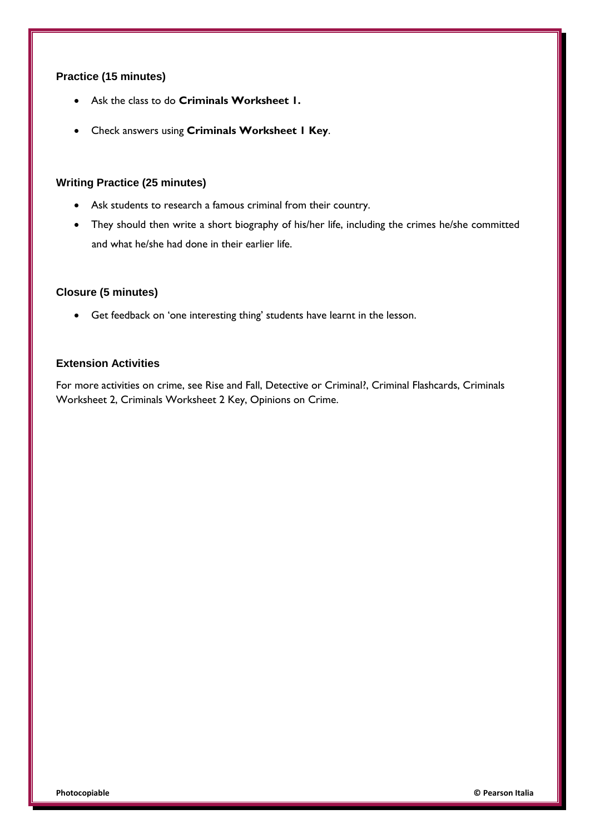#### **Practice (15 minutes)**

- Ask the class to do **Criminals Worksheet 1.**
- Check answers using **Criminals Worksheet 1 Key**.

#### **Writing Practice (25 minutes)**

- Ask students to research a famous criminal from their country.
- They should then write a short biography of his/her life, including the crimes he/she committed and what he/she had done in their earlier life.

#### **Closure (5 minutes)**

Get feedback on 'one interesting thing' students have learnt in the lesson.

## **Extension Activities**

For more activities on crime, see Rise and Fall, Detective or Criminal?, Criminal Flashcards, Criminals Worksheet 2, Criminals Worksheet 2 Key, Opinions on Crime.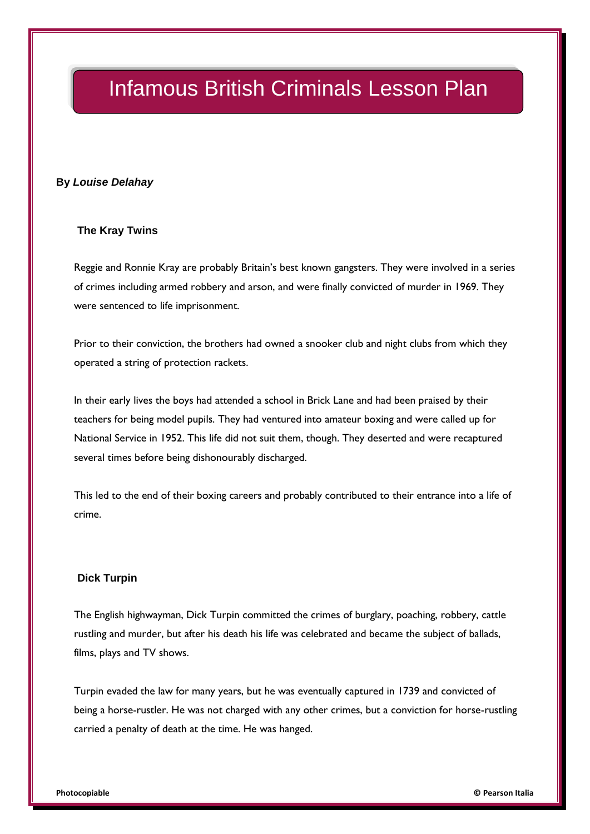#### **By** *Louise Delahay*

#### **The Kray Twins**

Reggie and Ronnie Kray are probably Britain's best known gangsters. They were involved in a series of crimes including armed robbery and arson, and were finally convicted of murder in 1969. They were sentenced to life imprisonment.

Prior to their conviction, the brothers had owned a snooker club and night clubs from which they operated a string of protection rackets.

In their early lives the boys had attended a school in Brick Lane and had been praised by their teachers for being model pupils. They had ventured into amateur boxing and were called up for National Service in 1952. This life did not suit them, though. They deserted and were recaptured several times before being dishonourably discharged.

This led to the end of their boxing careers and probably contributed to their entrance into a life of crime.

#### **Dick Turpin**

The English highwayman, Dick Turpin committed the crimes of burglary, poaching, robbery, cattle rustling and murder, but after his death his life was celebrated and became the subject of ballads, films, plays and TV shows.

Turpin evaded the law for many years, but he was eventually captured in 1739 and convicted of being a horse-rustler. He was not charged with any other crimes, but a conviction for horse-rustling carried a penalty of death at the time. He was hanged.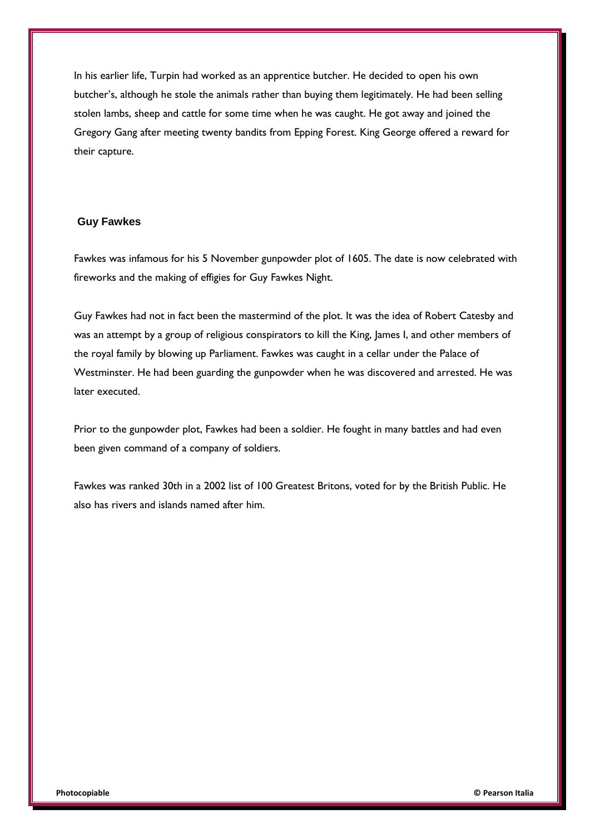In his earlier life, Turpin had worked as an apprentice butcher. He decided to open his own butcher's, although he stole the animals rather than buying them legitimately. He had been selling stolen lambs, sheep and cattle for some time when he was caught. He got away and joined the Gregory Gang after meeting twenty bandits from Epping Forest. King George offered a reward for their capture.

#### **Guy Fawkes**

Fawkes was infamous for his 5 November gunpowder plot of 1605. The date is now celebrated with fireworks and the making of effigies for Guy Fawkes Night.

Guy Fawkes had not in fact been the mastermind of the plot. It was the idea of Robert Catesby and was an attempt by a group of religious conspirators to kill the King, James I, and other members of the royal family by blowing up Parliament. Fawkes was caught in a cellar under the Palace of Westminster. He had been guarding the gunpowder when he was discovered and arrested. He was later executed.

Prior to the gunpowder plot, Fawkes had been a soldier. He fought in many battles and had even been given command of a company of soldiers.

Fawkes was ranked 30th in a 2002 list of 100 Greatest Britons, voted for by the British Public. He also has rivers and islands named after him.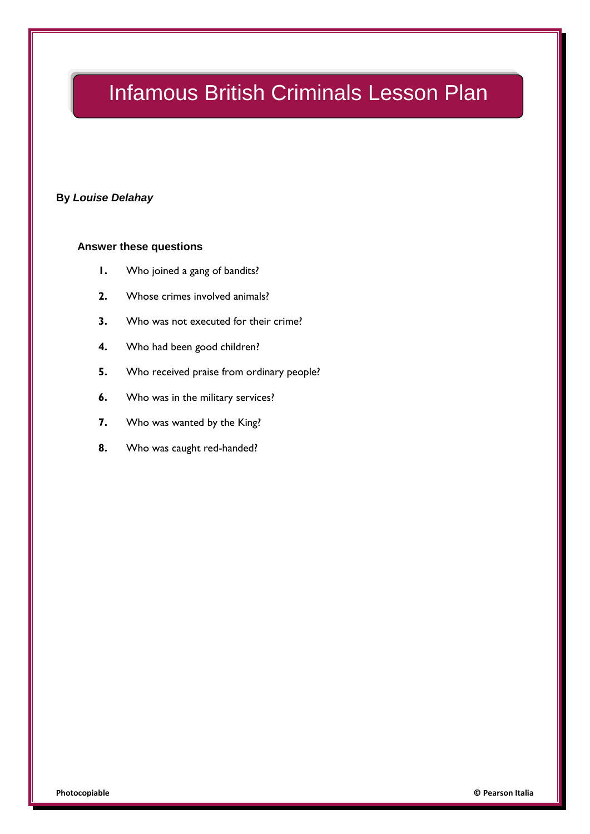### **By** *Louise Delahay*

#### **Answer these questions**

- **1.** Who joined a gang of bandits?
- **2.** Whose crimes involved animals?
- **3.** Who was not executed for their crime?
- **4.** Who had been good children?
- **5.** Who received praise from ordinary people?
- **6.** Who was in the military services?
- **7.** Who was wanted by the King?
- **8.** Who was caught red-handed?